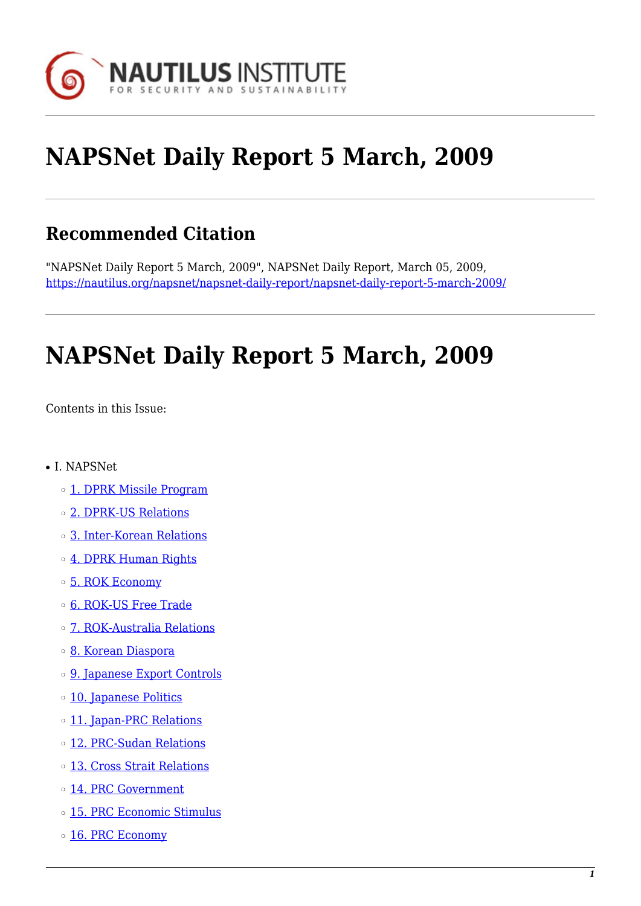

# **NAPSNet Daily Report 5 March, 2009**

#### **Recommended Citation**

"NAPSNet Daily Report 5 March, 2009", NAPSNet Daily Report, March 05, 2009, <https://nautilus.org/napsnet/napsnet-daily-report/napsnet-daily-report-5-march-2009/>

# **NAPSNet Daily Report 5 March, 2009**

<span id="page-0-0"></span>Contents in this Issue:

- I. NAPSNet
	- ❍ [1. DPRK Missile Program](#page-1-0)
	- ❍ [2. DPRK-US Relations](#page-1-1)
	- ❍ [3. Inter-Korean Relations](#page-1-2)
	- o [4. DPRK Human Rights](#page-2-0)
	- ❍ [5. ROK Economy](#page-2-1)
	- o **[6. ROK-US Free Trade](#page-2-2)**
	- ❍ [7. ROK-Australia Relations](#page-3-0)
	- ❍ [8. Korean Diaspora](#page-3-1)
	- ❍ [9. Japanese Export Controls](#page-3-2)
	- o [10. Japanese Politics](#page-4-0)
	- o [11. Japan-PRC Relations](#page-4-1)
	- ❍ [12. PRC-Sudan Relations](#page-4-2)
	- ❍ [13. Cross Strait Relations](#page-4-3)
	- ❍ [14. PRC Government](#page-5-0)
	- ❍ [15. PRC Economic Stimulus](#page-5-1)
	- o [16. PRC Economy](#page-5-2)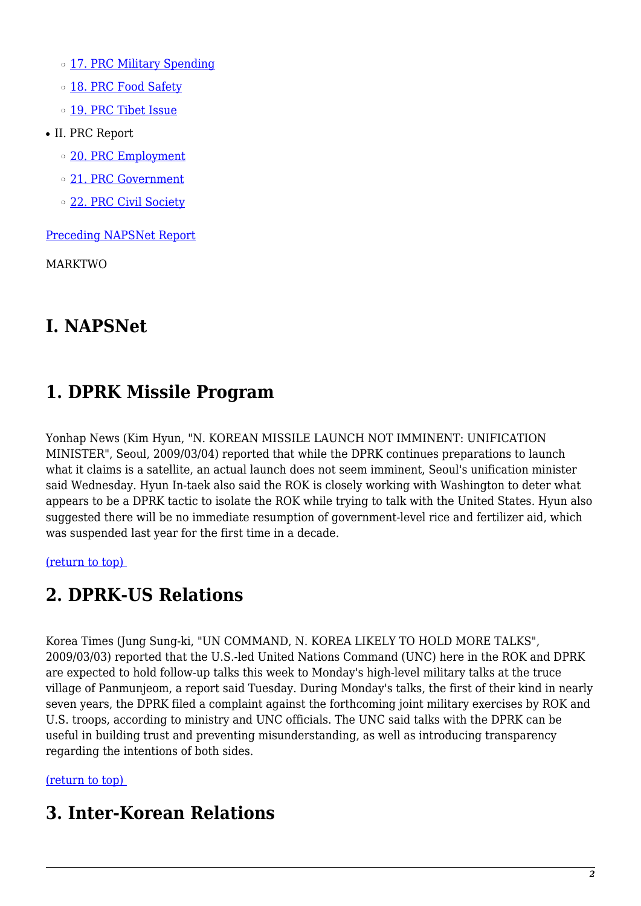- o [17. PRC Military Spending](#page-6-0)
- o [18. PRC Food Safety](#page-6-1)
- o [19. PRC Tibet Issue](#page-7-0)
- II. PRC Report
	- o [20. PRC Employment](#page-7-1)
	- ❍ [21. PRC Government](#page-7-2)
	- o [22. PRC Civil Society](#page-8-0)

[Preceding NAPSNet Report](https://nautilus.org/mailing-lists/napsnet/dr/2009-2/napsnet-daily-report-4-march-2009/)

MARKTWO

### **I. NAPSNet**

## <span id="page-1-0"></span>**1. DPRK Missile Program**

Yonhap News (Kim Hyun, "N. KOREAN MISSILE LAUNCH NOT IMMINENT: UNIFICATION MINISTER", Seoul, 2009/03/04) reported that while the DPRK continues preparations to launch what it claims is a satellite, an actual launch does not seem imminent, Seoul's unification minister said Wednesday. Hyun In-taek also said the ROK is closely working with Washington to deter what appears to be a DPRK tactic to isolate the ROK while trying to talk with the United States. Hyun also suggested there will be no immediate resumption of government-level rice and fertilizer aid, which was suspended last year for the first time in a decade.

<span id="page-1-1"></span>[\(return to top\)](#page-0-0) 

### **2. DPRK-US Relations**

Korea Times (Jung Sung-ki, "UN COMMAND, N. KOREA LIKELY TO HOLD MORE TALKS", 2009/03/03) reported that the U.S.-led United Nations Command (UNC) here in the ROK and DPRK are expected to hold follow-up talks this week to Monday's high-level military talks at the truce village of Panmunjeom, a report said Tuesday. During Monday's talks, the first of their kind in nearly seven years, the DPRK filed a complaint against the forthcoming joint military exercises by ROK and U.S. troops, according to ministry and UNC officials. The UNC said talks with the DPRK can be useful in building trust and preventing misunderstanding, as well as introducing transparency regarding the intentions of both sides.

#### <span id="page-1-2"></span>[\(return to top\)](#page-0-0)

#### **3. Inter-Korean Relations**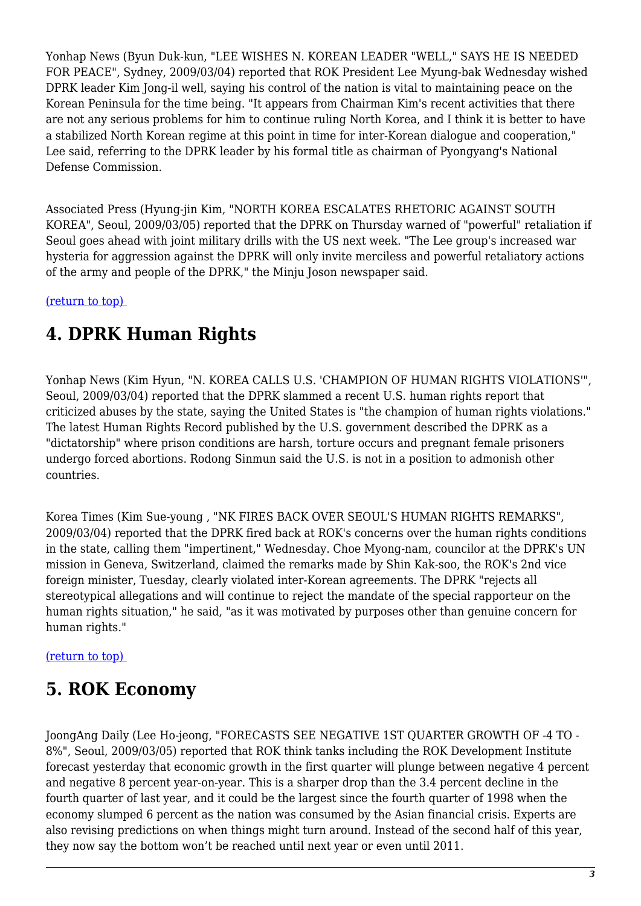Yonhap News (Byun Duk-kun, "LEE WISHES N. KOREAN LEADER "WELL," SAYS HE IS NEEDED FOR PEACE", Sydney, 2009/03/04) reported that ROK President Lee Myung-bak Wednesday wished DPRK leader Kim Jong-il well, saying his control of the nation is vital to maintaining peace on the Korean Peninsula for the time being. "It appears from Chairman Kim's recent activities that there are not any serious problems for him to continue ruling North Korea, and I think it is better to have a stabilized North Korean regime at this point in time for inter-Korean dialogue and cooperation," Lee said, referring to the DPRK leader by his formal title as chairman of Pyongyang's National Defense Commission.

Associated Press (Hyung-jin Kim, "NORTH KOREA ESCALATES RHETORIC AGAINST SOUTH KOREA", Seoul, 2009/03/05) reported that the DPRK on Thursday warned of "powerful" retaliation if Seoul goes ahead with joint military drills with the US next week. "The Lee group's increased war hysteria for aggression against the DPRK will only invite merciless and powerful retaliatory actions of the army and people of the DPRK," the Minju Joson newspaper said.

<span id="page-2-0"></span>[\(return to top\)](#page-0-0) 

## **4. DPRK Human Rights**

Yonhap News (Kim Hyun, "N. KOREA CALLS U.S. 'CHAMPION OF HUMAN RIGHTS VIOLATIONS'", Seoul, 2009/03/04) reported that the DPRK slammed a recent U.S. human rights report that criticized abuses by the state, saying the United States is "the champion of human rights violations." The latest Human Rights Record published by the U.S. government described the DPRK as a "dictatorship" where prison conditions are harsh, torture occurs and pregnant female prisoners undergo forced abortions. Rodong Sinmun said the U.S. is not in a position to admonish other countries.

Korea Times (Kim Sue-young , "NK FIRES BACK OVER SEOUL'S HUMAN RIGHTS REMARKS", 2009/03/04) reported that the DPRK fired back at ROK's concerns over the human rights conditions in the state, calling them "impertinent," Wednesday. Choe Myong-nam, councilor at the DPRK's UN mission in Geneva, Switzerland, claimed the remarks made by Shin Kak-soo, the ROK's 2nd vice foreign minister, Tuesday, clearly violated inter-Korean agreements. The DPRK "rejects all stereotypical allegations and will continue to reject the mandate of the special rapporteur on the human rights situation," he said, "as it was motivated by purposes other than genuine concern for human rights."

<span id="page-2-1"></span>[\(return to top\)](#page-0-0) 

### **5. ROK Economy**

<span id="page-2-2"></span>JoongAng Daily (Lee Ho-jeong, "FORECASTS SEE NEGATIVE 1ST QUARTER GROWTH OF -4 TO - 8%", Seoul, 2009/03/05) reported that ROK think tanks including the ROK Development Institute forecast yesterday that economic growth in the first quarter will plunge between negative 4 percent and negative 8 percent year-on-year. This is a sharper drop than the 3.4 percent decline in the fourth quarter of last year, and it could be the largest since the fourth quarter of 1998 when the economy slumped 6 percent as the nation was consumed by the Asian financial crisis. Experts are also revising predictions on when things might turn around. Instead of the second half of this year, they now say the bottom won't be reached until next year or even until 2011.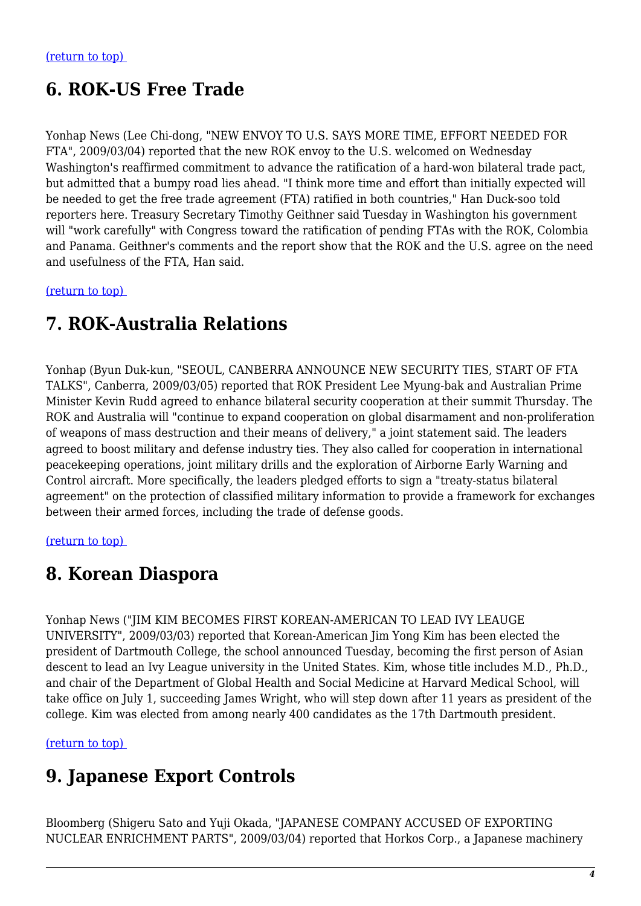### **6. ROK-US Free Trade**

Yonhap News (Lee Chi-dong, "NEW ENVOY TO U.S. SAYS MORE TIME, EFFORT NEEDED FOR FTA", 2009/03/04) reported that the new ROK envoy to the U.S. welcomed on Wednesday Washington's reaffirmed commitment to advance the ratification of a hard-won bilateral trade pact, but admitted that a bumpy road lies ahead. "I think more time and effort than initially expected will be needed to get the free trade agreement (FTA) ratified in both countries," Han Duck-soo told reporters here. Treasury Secretary Timothy Geithner said Tuesday in Washington his government will "work carefully" with Congress toward the ratification of pending FTAs with the ROK, Colombia and Panama. Geithner's comments and the report show that the ROK and the U.S. agree on the need and usefulness of the FTA, Han said.

<span id="page-3-0"></span>[\(return to top\)](#page-0-0) 

#### **7. ROK-Australia Relations**

Yonhap (Byun Duk-kun, "SEOUL, CANBERRA ANNOUNCE NEW SECURITY TIES, START OF FTA TALKS", Canberra, 2009/03/05) reported that ROK President Lee Myung-bak and Australian Prime Minister Kevin Rudd agreed to enhance bilateral security cooperation at their summit Thursday. The ROK and Australia will "continue to expand cooperation on global disarmament and non-proliferation of weapons of mass destruction and their means of delivery," a joint statement said. The leaders agreed to boost military and defense industry ties. They also called for cooperation in international peacekeeping operations, joint military drills and the exploration of Airborne Early Warning and Control aircraft. More specifically, the leaders pledged efforts to sign a "treaty-status bilateral agreement" on the protection of classified military information to provide a framework for exchanges between their armed forces, including the trade of defense goods.

<span id="page-3-1"></span>[\(return to top\)](#page-0-0) 

#### **8. Korean Diaspora**

Yonhap News ("JIM KIM BECOMES FIRST KOREAN-AMERICAN TO LEAD IVY LEAUGE UNIVERSITY", 2009/03/03) reported that Korean-American Jim Yong Kim has been elected the president of Dartmouth College, the school announced Tuesday, becoming the first person of Asian descent to lead an Ivy League university in the United States. Kim, whose title includes M.D., Ph.D., and chair of the Department of Global Health and Social Medicine at Harvard Medical School, will take office on July 1, succeeding James Wright, who will step down after 11 years as president of the college. Kim was elected from among nearly 400 candidates as the 17th Dartmouth president.

<span id="page-3-2"></span>[\(return to top\)](#page-0-0) 

#### **9. Japanese Export Controls**

Bloomberg (Shigeru Sato and Yuji Okada, "JAPANESE COMPANY ACCUSED OF EXPORTING NUCLEAR ENRICHMENT PARTS", 2009/03/04) reported that Horkos Corp., a Japanese machinery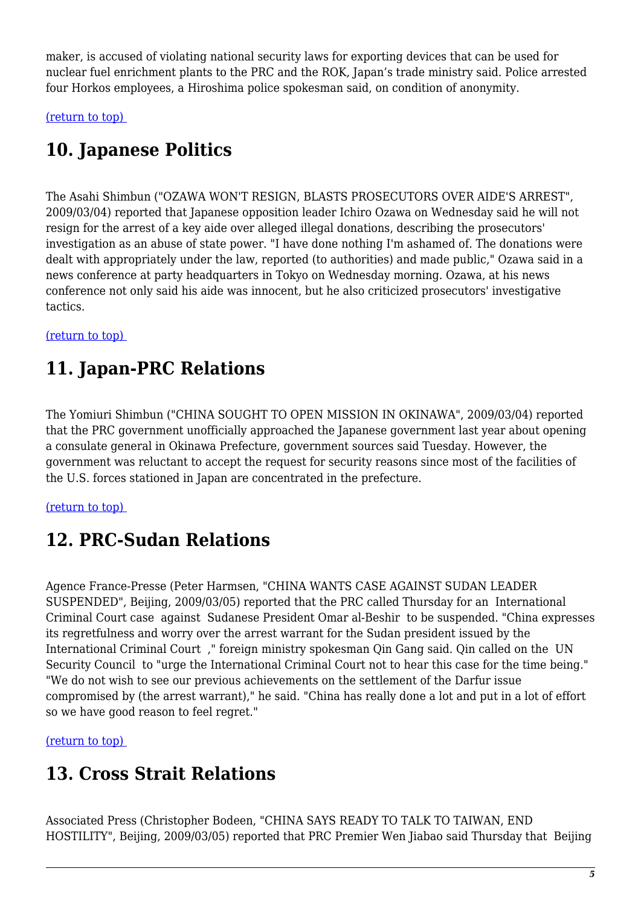maker, is accused of violating national security laws for exporting devices that can be used for nuclear fuel enrichment plants to the PRC and the ROK, Japan's trade ministry said. Police arrested four Horkos employees, a Hiroshima police spokesman said, on condition of anonymity.

<span id="page-4-0"></span>[\(return to top\)](#page-0-0) 

# **10. Japanese Politics**

The Asahi Shimbun ("OZAWA WON'T RESIGN, BLASTS PROSECUTORS OVER AIDE'S ARREST", 2009/03/04) reported that Japanese opposition leader Ichiro Ozawa on Wednesday said he will not resign for the arrest of a key aide over alleged illegal donations, describing the prosecutors' investigation as an abuse of state power. "I have done nothing I'm ashamed of. The donations were dealt with appropriately under the law, reported (to authorities) and made public," Ozawa said in a news conference at party headquarters in Tokyo on Wednesday morning. Ozawa, at his news conference not only said his aide was innocent, but he also criticized prosecutors' investigative tactics.

#### <span id="page-4-1"></span>[\(return to top\)](#page-0-0)

### **11. Japan-PRC Relations**

The Yomiuri Shimbun ("CHINA SOUGHT TO OPEN MISSION IN OKINAWA", 2009/03/04) reported that the PRC government unofficially approached the Japanese government last year about opening a consulate general in Okinawa Prefecture, government sources said Tuesday. However, the government was reluctant to accept the request for security reasons since most of the facilities of the U.S. forces stationed in Japan are concentrated in the prefecture.

#### <span id="page-4-2"></span>[\(return to top\)](#page-0-0)

#### **12. PRC-Sudan Relations**

Agence France-Presse (Peter Harmsen, "CHINA WANTS CASE AGAINST SUDAN LEADER SUSPENDED", Beijing, 2009/03/05) reported that the PRC called Thursday for an International Criminal Court case against Sudanese President Omar al-Beshir to be suspended. "China expresses its regretfulness and worry over the arrest warrant for the Sudan president issued by the International Criminal Court ," foreign ministry spokesman Qin Gang said. Qin called on the UN Security Council to "urge the International Criminal Court not to hear this case for the time being." "We do not wish to see our previous achievements on the settlement of the Darfur issue compromised by (the arrest warrant)," he said. "China has really done a lot and put in a lot of effort so we have good reason to feel regret."

<span id="page-4-3"></span>[\(return to top\)](#page-0-0) 

### **13. Cross Strait Relations**

Associated Press (Christopher Bodeen, "CHINA SAYS READY TO TALK TO TAIWAN, END HOSTILITY", Beijing, 2009/03/05) reported that PRC Premier Wen Jiabao said Thursday that Beijing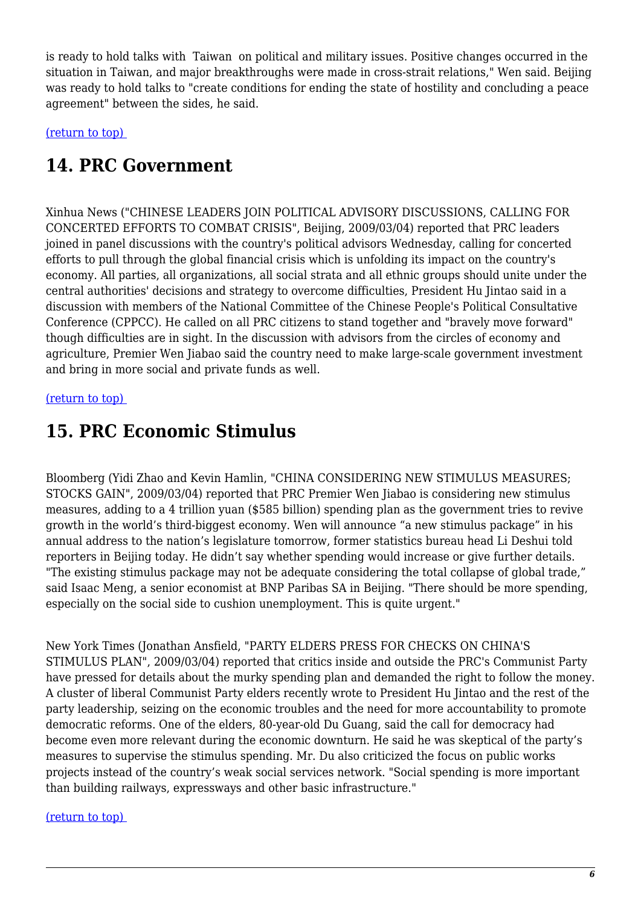is ready to hold talks with Taiwan on political and military issues. Positive changes occurred in the situation in Taiwan, and major breakthroughs were made in cross-strait relations," Wen said. Beijing was ready to hold talks to "create conditions for ending the state of hostility and concluding a peace agreement" between the sides, he said.

<span id="page-5-0"></span>[\(return to top\)](#page-0-0) 

### **14. PRC Government**

Xinhua News ("CHINESE LEADERS JOIN POLITICAL ADVISORY DISCUSSIONS, CALLING FOR CONCERTED EFFORTS TO COMBAT CRISIS", Beijing, 2009/03/04) reported that PRC leaders joined in panel discussions with the country's political advisors Wednesday, calling for concerted efforts to pull through the global financial crisis which is unfolding its impact on the country's economy. All parties, all organizations, all social strata and all ethnic groups should unite under the central authorities' decisions and strategy to overcome difficulties, President Hu Jintao said in a discussion with members of the National Committee of the Chinese People's Political Consultative Conference (CPPCC). He called on all PRC citizens to stand together and "bravely move forward" though difficulties are in sight. In the discussion with advisors from the circles of economy and agriculture, Premier Wen Jiabao said the country need to make large-scale government investment and bring in more social and private funds as well.

#### <span id="page-5-1"></span>[\(return to top\)](#page-0-0)

#### **15. PRC Economic Stimulus**

Bloomberg (Yidi Zhao and Kevin Hamlin, "CHINA CONSIDERING NEW STIMULUS MEASURES; STOCKS GAIN", 2009/03/04) reported that PRC Premier Wen Jiabao is considering new stimulus measures, adding to a 4 trillion yuan (\$585 billion) spending plan as the government tries to revive growth in the world's third-biggest economy. Wen will announce "a new stimulus package" in his annual address to the nation's legislature tomorrow, former statistics bureau head Li Deshui told reporters in Beijing today. He didn't say whether spending would increase or give further details. "The existing stimulus package may not be adequate considering the total collapse of global trade," said Isaac Meng, a senior economist at BNP Paribas SA in Beijing. "There should be more spending, especially on the social side to cushion unemployment. This is quite urgent."

New York Times (Jonathan Ansfield, "PARTY ELDERS PRESS FOR CHECKS ON CHINA'S STIMULUS PLAN", 2009/03/04) reported that critics inside and outside the PRC's Communist Party have pressed for details about the murky spending plan and demanded the right to follow the money. A cluster of liberal Communist Party elders recently wrote to President Hu Jintao and the rest of the party leadership, seizing on the economic troubles and the need for more accountability to promote democratic reforms. One of the elders, 80-year-old Du Guang, said the call for democracy had become even more relevant during the economic downturn. He said he was skeptical of the party's measures to supervise the stimulus spending. Mr. Du also criticized the focus on public works projects instead of the country's weak social services network. "Social spending is more important than building railways, expressways and other basic infrastructure."

#### <span id="page-5-2"></span>[\(return to top\)](#page-0-0)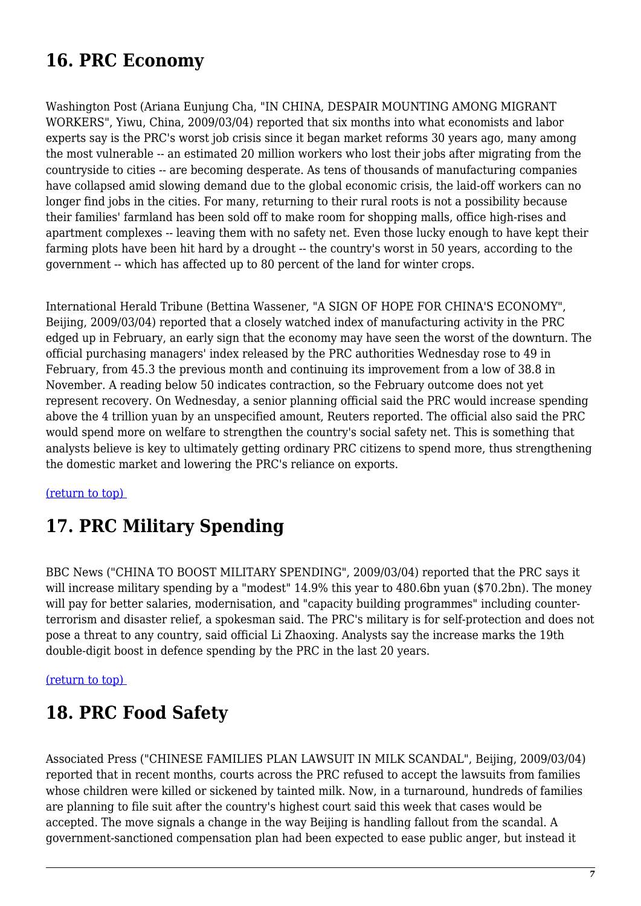## **16. PRC Economy**

Washington Post (Ariana Eunjung Cha, "IN CHINA, DESPAIR MOUNTING AMONG MIGRANT WORKERS", Yiwu, China, 2009/03/04) reported that six months into what economists and labor experts say is the PRC's worst job crisis since it began market reforms 30 years ago, many among the most vulnerable -- an estimated 20 million workers who lost their jobs after migrating from the countryside to cities -- are becoming desperate. As tens of thousands of manufacturing companies have collapsed amid slowing demand due to the global economic crisis, the laid-off workers can no longer find jobs in the cities. For many, returning to their rural roots is not a possibility because their families' farmland has been sold off to make room for shopping malls, office high-rises and apartment complexes -- leaving them with no safety net. Even those lucky enough to have kept their farming plots have been hit hard by a drought -- the country's worst in 50 years, according to the government -- which has affected up to 80 percent of the land for winter crops.

International Herald Tribune (Bettina Wassener, "A SIGN OF HOPE FOR CHINA'S ECONOMY", Beijing, 2009/03/04) reported that a closely watched index of manufacturing activity in the PRC edged up in February, an early sign that the economy may have seen the worst of the downturn. The official purchasing managers' index released by the PRC authorities Wednesday rose to 49 in February, from 45.3 the previous month and continuing its improvement from a low of 38.8 in November. A reading below 50 indicates contraction, so the February outcome does not yet represent recovery. On Wednesday, a senior planning official said the PRC would increase spending above the 4 trillion yuan by an unspecified amount, Reuters reported. The official also said the PRC would spend more on welfare to strengthen the country's social safety net. This is something that analysts believe is key to ultimately getting ordinary PRC citizens to spend more, thus strengthening the domestic market and lowering the PRC's reliance on exports.

#### <span id="page-6-0"></span>[\(return to top\)](#page-0-0)

### **17. PRC Military Spending**

BBC News ("CHINA TO BOOST MILITARY SPENDING", 2009/03/04) reported that the PRC says it will increase military spending by a "modest" 14.9% this year to 480.6bn yuan (\$70.2bn). The money will pay for better salaries, modernisation, and "capacity building programmes" including counterterrorism and disaster relief, a spokesman said. The PRC's military is for self-protection and does not pose a threat to any country, said official Li Zhaoxing. Analysts say the increase marks the 19th double-digit boost in defence spending by the PRC in the last 20 years.

#### <span id="page-6-1"></span>[\(return to top\)](#page-0-0)

#### **18. PRC Food Safety**

Associated Press ("CHINESE FAMILIES PLAN LAWSUIT IN MILK SCANDAL", Beijing, 2009/03/04) reported that in recent months, courts across the PRC refused to accept the lawsuits from families whose children were killed or sickened by tainted milk. Now, in a turnaround, hundreds of families are planning to file suit after the country's highest court said this week that cases would be accepted. The move signals a change in the way Beijing is handling fallout from the scandal. A government-sanctioned compensation plan had been expected to ease public anger, but instead it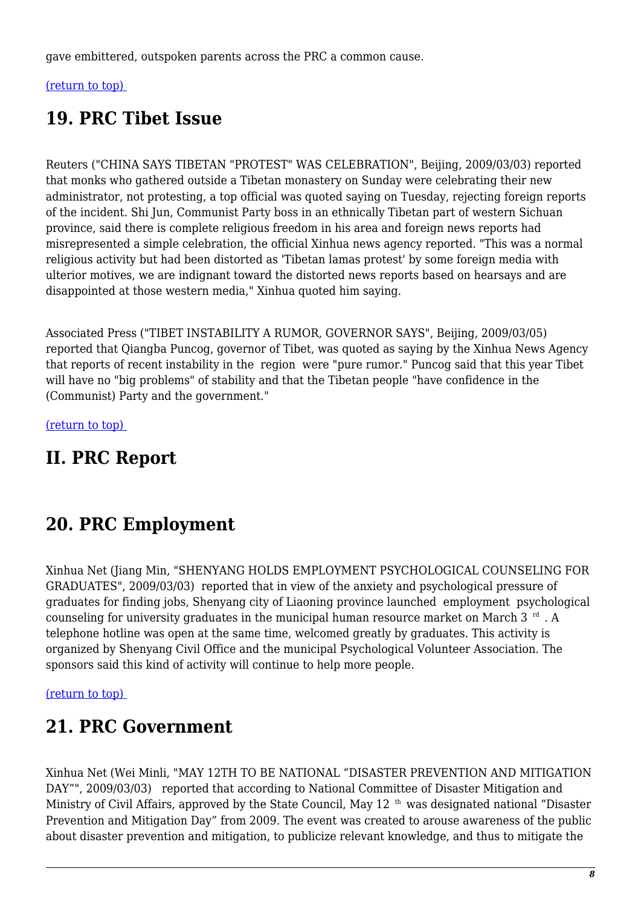gave embittered, outspoken parents across the PRC a common cause.

#### <span id="page-7-0"></span>[\(return to top\)](#page-0-0)

#### **19. PRC Tibet Issue**

Reuters ("CHINA SAYS TIBETAN "PROTEST" WAS CELEBRATION", Beijing, 2009/03/03) reported that monks who gathered outside a Tibetan monastery on Sunday were celebrating their new administrator, not protesting, a top official was quoted saying on Tuesday, rejecting foreign reports of the incident. Shi Jun, Communist Party boss in an ethnically Tibetan part of western Sichuan province, said there is complete religious freedom in his area and foreign news reports had misrepresented a simple celebration, the official Xinhua news agency reported. "This was a normal religious activity but had been distorted as 'Tibetan lamas protest' by some foreign media with ulterior motives, we are indignant toward the distorted news reports based on hearsays and are disappointed at those western media," Xinhua quoted him saying.

Associated Press ("TIBET INSTABILITY A RUMOR, GOVERNOR SAYS", Beijing, 2009/03/05) reported that Qiangba Puncog, governor of Tibet, was quoted as saying by the Xinhua News Agency that reports of recent instability in the region were "pure rumor." Puncog said that this year Tibet will have no "big problems" of stability and that the Tibetan people "have confidence in the (Communist) Party and the government."

[\(return to top\)](#page-0-0) 

### **II. PRC Report**

#### <span id="page-7-1"></span>**20. PRC Employment**

Xinhua Net (Jiang Min, "SHENYANG HOLDS EMPLOYMENT PSYCHOLOGICAL COUNSELING FOR GRADUATES", 2009/03/03) reported that in view of the anxiety and psychological pressure of graduates for finding jobs, Shenyang city of Liaoning province launched employment psychological counseling for university graduates in the municipal human resource market on March  $3<sup>rd</sup>$ . A telephone hotline was open at the same time, welcomed greatly by graduates. This activity is organized by Shenyang Civil Office and the municipal Psychological Volunteer Association. The sponsors said this kind of activity will continue to help more people.

#### <span id="page-7-2"></span>[\(return to top\)](#page-0-0)

#### **21. PRC Government**

Xinhua Net (Wei Minli, "MAY 12TH TO BE NATIONAL "DISASTER PREVENTION AND MITIGATION DAY"", 2009/03/03) reported that according to National Committee of Disaster Mitigation and Ministry of Civil Affairs, approved by the State Council, May 12<sup>th</sup> was designated national "Disaster" Prevention and Mitigation Day" from 2009. The event was created to arouse awareness of the public about disaster prevention and mitigation, to publicize relevant knowledge, and thus to mitigate the